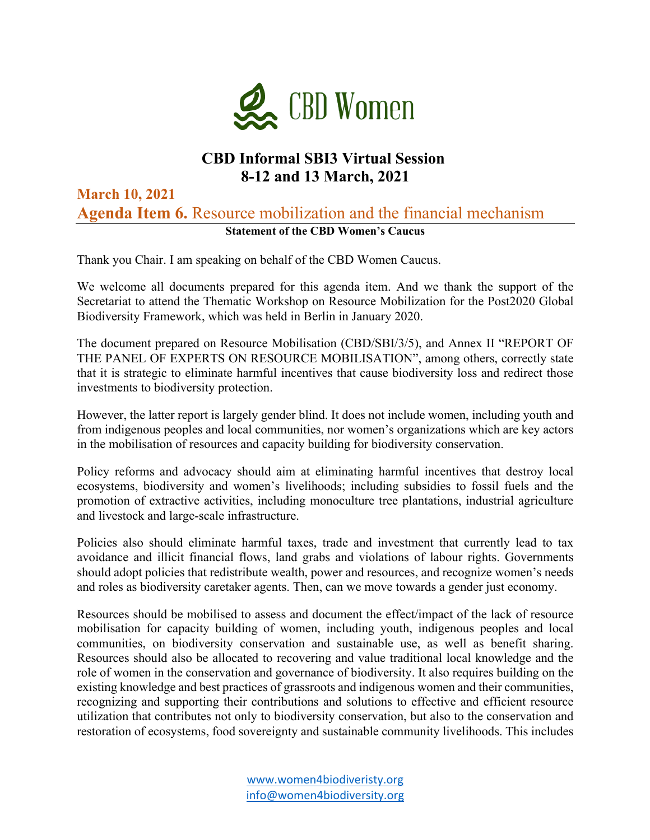

## **CBD Informal SBI3 Virtual Session 8-12 and 13 March, 2021**

## **March 10, 2021 Agenda Item 6.** Resource mobilization and the financial mechanism **Statement of the CBD Women's Caucus**

Thank you Chair. I am speaking on behalf of the CBD Women Caucus.

We welcome all documents prepared for this agenda item. And we thank the support of the Secretariat to attend the Thematic Workshop on Resource Mobilization for the Post2020 Global Biodiversity Framework, which was held in Berlin in January 2020.

The document prepared on Resource Mobilisation (CBD/SBI/3/5), and Annex II "REPORT OF THE PANEL OF EXPERTS ON RESOURCE MOBILISATION", among others, correctly state that it is strategic to eliminate harmful incentives that cause biodiversity loss and redirect those investments to biodiversity protection.

However, the latter report is largely gender blind. It does not include women, including youth and from indigenous peoples and local communities, nor women's organizations which are key actors in the mobilisation of resources and capacity building for biodiversity conservation.

Policy reforms and advocacy should aim at eliminating harmful incentives that destroy local ecosystems, biodiversity and women's livelihoods; including subsidies to fossil fuels and the promotion of extractive activities, including monoculture tree plantations, industrial agriculture and livestock and large-scale infrastructure.

Policies also should eliminate harmful taxes, trade and investment that currently lead to tax avoidance and illicit financial flows, land grabs and violations of labour rights. Governments should adopt policies that redistribute wealth, power and resources, and recognize women's needs and roles as biodiversity caretaker agents. Then, can we move towards a gender just economy.

Resources should be mobilised to assess and document the effect/impact of the lack of resource mobilisation for capacity building of women, including youth, indigenous peoples and local communities, on biodiversity conservation and sustainable use, as well as benefit sharing. Resources should also be allocated to recovering and value traditional local knowledge and the role of women in the conservation and governance of biodiversity. It also requires building on the existing knowledge and best practices of grassroots and indigenous women and their communities, recognizing and supporting their contributions and solutions to effective and efficient resource utilization that contributes not only to biodiversity conservation, but also to the conservation and restoration of ecosystems, food sovereignty and sustainable community livelihoods. This includes